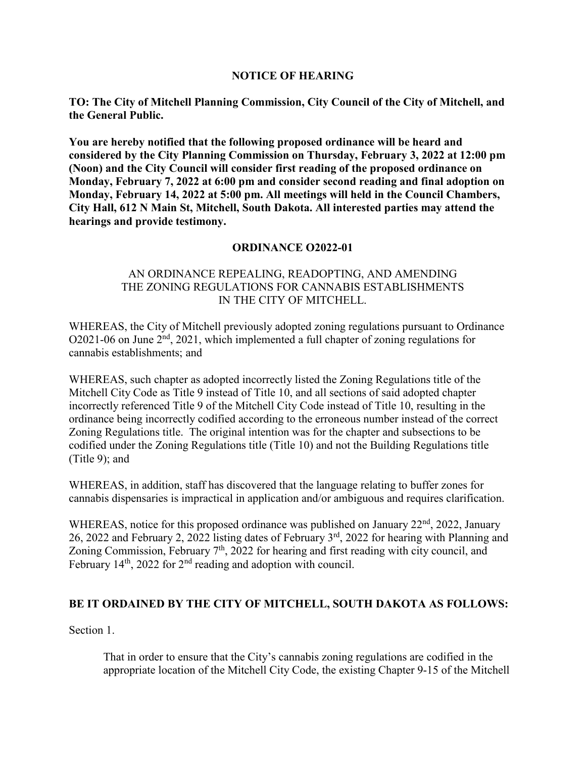## **NOTICE OF HEARING**

**TO: The City of Mitchell Planning Commission, City Council of the City of Mitchell, and the General Public.** 

**You are hereby notified that the following proposed ordinance will be heard and considered by the City Planning Commission on Thursday, February 3, 2022 at 12:00 pm (Noon) and the City Council will consider first reading of the proposed ordinance on Monday, February 7, 2022 at 6:00 pm and consider second reading and final adoption on Monday, February 14, 2022 at 5:00 pm. All meetings will held in the Council Chambers, City Hall, 612 N Main St, Mitchell, South Dakota. All interested parties may attend the hearings and provide testimony.** 

# **ORDINANCE O2022-01**

## AN ORDINANCE REPEALING, READOPTING, AND AMENDING THE ZONING REGULATIONS FOR CANNABIS ESTABLISHMENTS IN THE CITY OF MITCHELL.

WHEREAS, the City of Mitchell previously adopted zoning regulations pursuant to Ordinance O2021-06 on June 2nd, 2021, which implemented a full chapter of zoning regulations for cannabis establishments; and

WHEREAS, such chapter as adopted incorrectly listed the Zoning Regulations title of the Mitchell City Code as Title 9 instead of Title 10, and all sections of said adopted chapter incorrectly referenced Title 9 of the Mitchell City Code instead of Title 10, resulting in the ordinance being incorrectly codified according to the erroneous number instead of the correct Zoning Regulations title. The original intention was for the chapter and subsections to be codified under the Zoning Regulations title (Title 10) and not the Building Regulations title (Title 9); and

WHEREAS, in addition, staff has discovered that the language relating to buffer zones for cannabis dispensaries is impractical in application and/or ambiguous and requires clarification.

WHEREAS, notice for this proposed ordinance was published on January 22<sup>nd</sup>, 2022, January 26, 2022 and February 2, 2022 listing dates of February 3rd, 2022 for hearing with Planning and Zoning Commission, February 7<sup>th</sup>, 2022 for hearing and first reading with city council, and February 14<sup>th</sup>, 2022 for  $2<sup>nd</sup>$  reading and adoption with council.

## **BE IT ORDAINED BY THE CITY OF MITCHELL, SOUTH DAKOTA AS FOLLOWS:**

Section 1.

That in order to ensure that the City's cannabis zoning regulations are codified in the appropriate location of the Mitchell City Code, the existing Chapter 9-15 of the Mitchell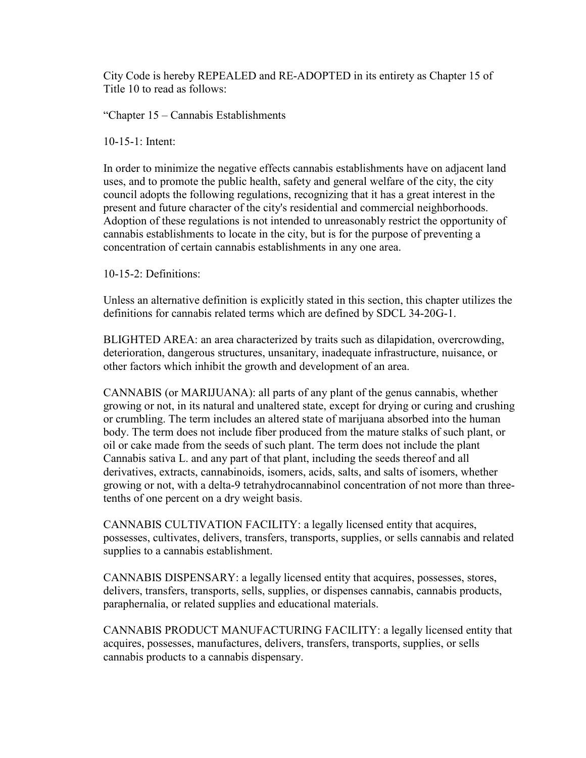City Code is hereby REPEALED and RE-ADOPTED in its entirety as Chapter 15 of Title 10 to read as follows:

"Chapter 15 – Cannabis Establishments

10-15-1: Intent:

In order to minimize the negative effects cannabis establishments have on adjacent land uses, and to promote the public health, safety and general welfare of the city, the city council adopts the following regulations, recognizing that it has a great interest in the present and future character of the city's residential and commercial neighborhoods. Adoption of these regulations is not intended to unreasonably restrict the opportunity of cannabis establishments to locate in the city, but is for the purpose of preventing a concentration of certain cannabis establishments in any one area.

10-15-2: Definitions:

Unless an alternative definition is explicitly stated in this section, this chapter utilizes the definitions for cannabis related terms which are defined by SDCL 34-20G-1.

BLIGHTED AREA: an area characterized by traits such as dilapidation, overcrowding, deterioration, dangerous structures, unsanitary, inadequate infrastructure, nuisance, or other factors which inhibit the growth and development of an area.

CANNABIS (or MARIJUANA): all parts of any plant of the genus cannabis, whether growing or not, in its natural and unaltered state, except for drying or curing and crushing or crumbling. The term includes an altered state of marijuana absorbed into the human body. The term does not include fiber produced from the mature stalks of such plant, or oil or cake made from the seeds of such plant. The term does not include the plant Cannabis sativa L. and any part of that plant, including the seeds thereof and all derivatives, extracts, cannabinoids, isomers, acids, salts, and salts of isomers, whether growing or not, with a delta-9 tetrahydrocannabinol concentration of not more than threetenths of one percent on a dry weight basis.

CANNABIS CULTIVATION FACILITY: a legally licensed entity that acquires, possesses, cultivates, delivers, transfers, transports, supplies, or sells cannabis and related supplies to a cannabis establishment.

CANNABIS DISPENSARY: a legally licensed entity that acquires, possesses, stores, delivers, transfers, transports, sells, supplies, or dispenses cannabis, cannabis products, paraphernalia, or related supplies and educational materials.

CANNABIS PRODUCT MANUFACTURING FACILITY: a legally licensed entity that acquires, possesses, manufactures, delivers, transfers, transports, supplies, or sells cannabis products to a cannabis dispensary.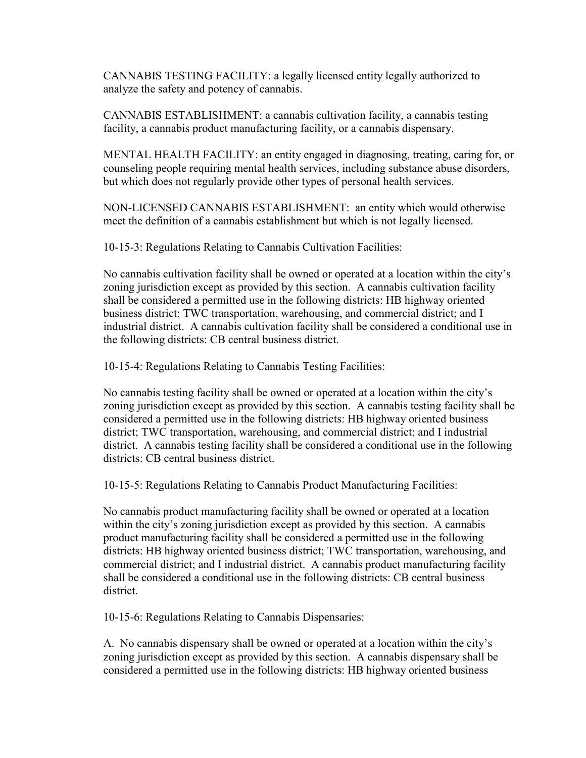CANNABIS TESTING FACILITY: a legally licensed entity legally authorized to analyze the safety and potency of cannabis.

CANNABIS ESTABLISHMENT: a cannabis cultivation facility, a cannabis testing facility, a cannabis product manufacturing facility, or a cannabis dispensary.

MENTAL HEALTH FACILITY: an entity engaged in diagnosing, treating, caring for, or counseling people requiring mental health services, including substance abuse disorders, but which does not regularly provide other types of personal health services.

NON-LICENSED CANNABIS ESTABLISHMENT: an entity which would otherwise meet the definition of a cannabis establishment but which is not legally licensed.

10-15-3: Regulations Relating to Cannabis Cultivation Facilities:

No cannabis cultivation facility shall be owned or operated at a location within the city's zoning jurisdiction except as provided by this section. A cannabis cultivation facility shall be considered a permitted use in the following districts: HB highway oriented business district; TWC transportation, warehousing, and commercial district; and I industrial district. A cannabis cultivation facility shall be considered a conditional use in the following districts: CB central business district.

10-15-4: Regulations Relating to Cannabis Testing Facilities:

No cannabis testing facility shall be owned or operated at a location within the city's zoning jurisdiction except as provided by this section. A cannabis testing facility shall be considered a permitted use in the following districts: HB highway oriented business district; TWC transportation, warehousing, and commercial district; and I industrial district. A cannabis testing facility shall be considered a conditional use in the following districts: CB central business district.

10-15-5: Regulations Relating to Cannabis Product Manufacturing Facilities:

No cannabis product manufacturing facility shall be owned or operated at a location within the city's zoning jurisdiction except as provided by this section. A cannabis product manufacturing facility shall be considered a permitted use in the following districts: HB highway oriented business district; TWC transportation, warehousing, and commercial district; and I industrial district. A cannabis product manufacturing facility shall be considered a conditional use in the following districts: CB central business district.

10-15-6: Regulations Relating to Cannabis Dispensaries:

A. No cannabis dispensary shall be owned or operated at a location within the city's zoning jurisdiction except as provided by this section. A cannabis dispensary shall be considered a permitted use in the following districts: HB highway oriented business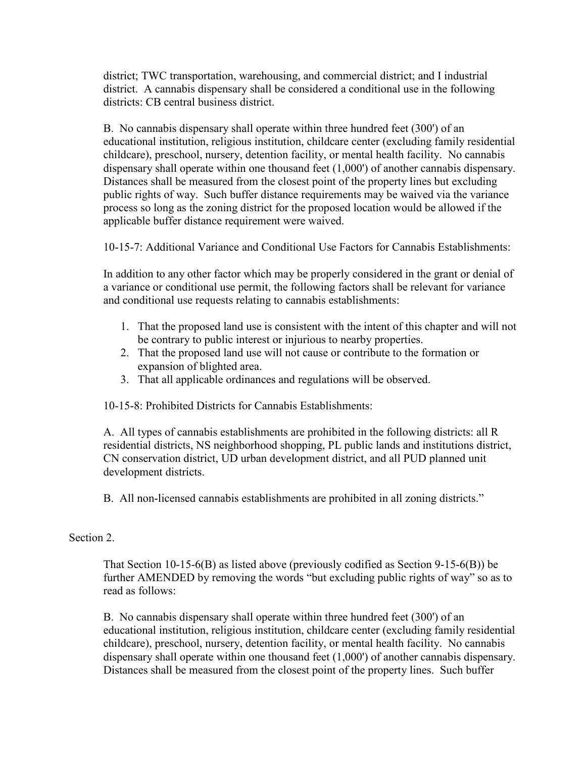district; TWC transportation, warehousing, and commercial district; and I industrial district. A cannabis dispensary shall be considered a conditional use in the following districts: CB central business district.

B. No cannabis dispensary shall operate within three hundred feet (300') of an educational institution, religious institution, childcare center (excluding family residential childcare), preschool, nursery, detention facility, or mental health facility. No cannabis dispensary shall operate within one thousand feet (1,000') of another cannabis dispensary. Distances shall be measured from the closest point of the property lines but excluding public rights of way. Such buffer distance requirements may be waived via the variance process so long as the zoning district for the proposed location would be allowed if the applicable buffer distance requirement were waived.

10-15-7: Additional Variance and Conditional Use Factors for Cannabis Establishments:

In addition to any other factor which may be properly considered in the grant or denial of a variance or conditional use permit, the following factors shall be relevant for variance and conditional use requests relating to cannabis establishments:

- 1. That the proposed land use is consistent with the intent of this chapter and will not be contrary to public interest or injurious to nearby properties.
- 2. That the proposed land use will not cause or contribute to the formation or expansion of blighted area.
- 3. That all applicable ordinances and regulations will be observed.

10-15-8: Prohibited Districts for Cannabis Establishments:

A. All types of cannabis establishments are prohibited in the following districts: all R residential districts, NS neighborhood shopping, PL public lands and institutions district, CN conservation district, UD urban development district, and all PUD planned unit development districts.

B. All non-licensed cannabis establishments are prohibited in all zoning districts."

## Section 2.

That Section 10-15-6(B) as listed above (previously codified as Section 9-15-6(B)) be further AMENDED by removing the words "but excluding public rights of way" so as to read as follows:

B. No cannabis dispensary shall operate within three hundred feet (300') of an educational institution, religious institution, childcare center (excluding family residential childcare), preschool, nursery, detention facility, or mental health facility. No cannabis dispensary shall operate within one thousand feet (1,000') of another cannabis dispensary. Distances shall be measured from the closest point of the property lines. Such buffer